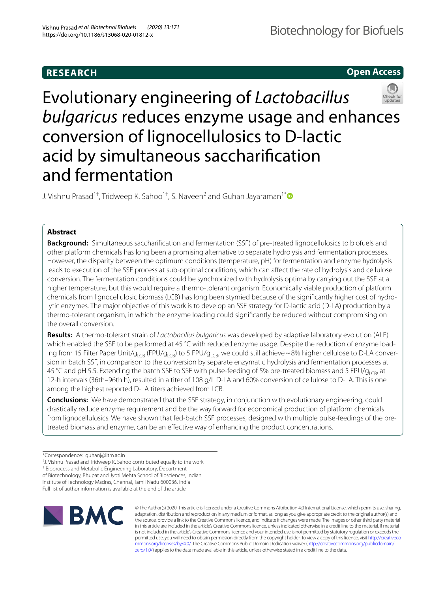# **RESEARCH**

**Open Access**

# Evolutionary engineering of Lactobacillus bulgaricus reduces enzyme usage and enhances conversion of lignocellulosics to D-lactic acid by simultaneous saccharification and fermentation

J. Vishnu Prasad<sup>1†</sup>, Tridweep K. Sahoo<sup>1†</sup>, S. Naveen<sup>2</sup> and Guhan Jayaraman<sup>1[\\*](http://orcid.org/0000-0003-0084-162X)</sup>

## **Abstract**

**Background:** Simultaneous saccharification and fermentation (SSF) of pre-treated lignocellulosics to biofuels and other platform chemicals has long been a promising alternative to separate hydrolysis and fermentation processes. However, the disparity between the optimum conditions (temperature, pH) for fermentation and enzyme hydrolysis leads to execution of the SSF process at sub-optimal conditions, which can affect the rate of hydrolysis and cellulose conversion. The fermentation conditions could be synchronized with hydrolysis optima by carrying out the SSF at a higher temperature, but this would require a thermo-tolerant organism. Economically viable production of platform chemicals from lignocellulosic biomass (LCB) has long been stymied because of the significantly higher cost of hydrolytic enzymes. The major objective of this work is to develop an SSF strategy for D-lactic acid (D-LA) production by a thermo-tolerant organism, in which the enzyme loading could significantly be reduced without compromising on the overall conversion.

**Results:** A thermo-tolerant strain of Lactobacillus bulgaricus was developed by adaptive laboratory evolution (ALE) which enabled the SSF to be performed at 45 °C with reduced enzyme usage. Despite the reduction of enzyme loading from 15 Filter Paper Unit/ $g_{\text{LCB}}$  (FPU/ $g_{\text{LCB}}$ ) to 5 FPU/ $g_{\text{LCB}}$ , we could still achieve ~ 8% higher cellulose to D-LA conversion in batch SSF, in comparison to the conversion by separate enzymatic hydrolysis and fermentation processes at 45 °C and pH 5.5. Extending the batch SSF to SSF with pulse-feeding of 5% pre-treated biomass and 5 FPU/g<sub>LCB</sub>, at 12-h intervals (36th–96th h), resulted in a titer of 108 g/L D-LA and 60% conversion of cellulose to D-LA. This is one among the highest reported D-LA titers achieved from LCB.

**Conclusions:** We have demonstrated that the SSF strategy, in conjunction with evolutionary engineering, could drastically reduce enzyme requirement and be the way forward for economical production of platform chemicals from lignocellulosics. We have shown that fed-batch SSF processes, designed with multiple pulse-feedings of the pretreated biomass and enzyme, can be an effective way of enhancing the product concentrations.

<sup>1</sup> Bioprocess and Metabolic Engineering Laboratory, Department

of Biotechnology, Bhupat and Jyoti Mehta School of Biosciences, Indian

Institute of Technology Madras, Chennai, Tamil Nadu 600036, India Full list of author information is available at the end of the article



© The Author(s) 2020. This article is licensed under a Creative Commons Attribution 4.0 International License, which permits use, sharing, adaptation, distribution and reproduction in any medium or format, as long as you give appropriate credit to the original author(s) and the source, provide a link to the Creative Commons licence, and indicate if changes were made. The images or other third party material in this article are included in the article's Creative Commons licence, unless indicated otherwise in a credit line to the material. If material is not included in the article's Creative Commons licence and your intended use is not permitted by statutory regulation or exceeds the permitted use, you will need to obtain permission directly from the copyright holder. To view a copy of this licence, visit http://creativeco mmons.org/licenses/by/4.0/. The Creative Commons Public Domain Dedication waiver (http://creativecommons.org/publicdomain/ [zero/1.0/\)](http://creativecommons.org/publicdomain/zero/1.0/) applies to the data made available in this article, unless otherwise stated in a credit line to the data.

<sup>\*</sup>Correspondence: guhanj@iitm.ac.in

<sup>†</sup> J. Vishnu Prasad and Tridweep K. Sahoo contributed equally to the work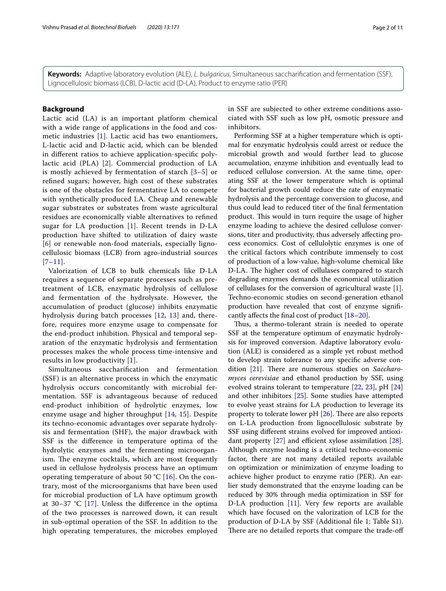**Keywords:** Adaptive laboratory evolution (ALE), L. bulgaricus, Simultaneous saccharification and fermentation (SSF), Lignocellulosic biomass (LCB), D-lactic acid (D-LA), Product to enzyme ratio (PER)

## **Background**

Lactic acid (LA) is an important platform chemical with a wide range of applications in the food and cosmetic industries [[1](#page-9-0)]. Lactic acid has two enantiomers, L-lactic acid and D-lactic acid, which can be blended in different ratios to achieve application-specific polylactic acid (PLA) [[2](#page-9-1)]. Commercial production of LA is mostly achieved by fermentation of starch [\[3](#page-9-2)[–5](#page-9-3)] or refined sugars; however, high cost of these substrates is one of the obstacles for fermentative LA to compete with synthetically produced LA. Cheap and renewable sugar substrates or substrates from waste agricultural residues are economically viable alternatives to refined sugar for LA production  $[1]$ . Recent trends in D-LA production have shifted to utilization of dairy waste [[6](#page-9-4)] or renewable non-food materials, especially lignocellulosic biomass (LCB) from agro-industrial sources  $[7-11]$  $[7-11]$  $[7-11]$ .

Valorization of LCB to bulk chemicals like D-LA requires a sequence of separate processes such as pretreatment of LCB, enzymatic hydrolysis of cellulose and fermentation of the hydrolysate. However, the accumulation of product (glucose) inhibits enzymatic hydrolysis during batch processes [[12,](#page-9-7) [13](#page-9-8)] and, therefore, requires more enzyme usage to compensate for the end-product inhibition. Physical and temporal separation of the enzymatic hydrolysis and fermentation processes makes the whole process time-intensive and results in low productivity [[1](#page-9-0)].

Simultaneous saccharification and fermentation (SSF) is an alternative process in which the enzymatic hydrolysis occurs concomitantly with microbial fermentation. SSF is advantageous because of reduced end-product inhibition of hydrolytic enzymes, low enzyme usage and higher throughput [[14,](#page-9-9) [15\]](#page-9-10). Despite its techno-economic advantages over separate hydrolysis and fermentation (SHF), the major drawback with SSF is the difference in temperature optima of the hydrolytic enzymes and the fermenting microorganism. The enzyme cocktails, which are most frequently used in cellulose hydrolysis process have an optimum operating temperature of about 50 °C  $[16]$  $[16]$ . On the contrary, most of the microorganisms that have been used for microbial production of LA have optimum growth at 30–37  $°C$  [[17](#page-9-12)]. Unless the difference in the optima of the two processes is narrowed down, it can result in sub-optimal operation of the SSF. In addition to the high operating temperatures, the microbes employed in SSF are subjected to other extreme conditions associated with SSF such as low pH, osmotic pressure and inhibitors.

Performing SSF at a higher temperature which is optimal for enzymatic hydrolysis could arrest or reduce the microbial growth and would further lead to glucose accumulation, enzyme inhibition and eventually lead to reduced cellulose conversion. At the same time, operating SSF at the lower temperature which is optimal for bacterial growth could reduce the rate of enzymatic hydrolysis and the percentage conversion to glucose, and thus could lead to reduced titer of the final fermentation product. This would in turn require the usage of higher enzyme loading to achieve the desired cellulose conversions, titer and productivity, thus adversely affecting process economics. Cost of cellulolytic enzymes is one of the critical factors which contribute immensely to cost of production of a low-value, high-volume chemical like D-LA. The higher cost of cellulases compared to starch degrading enzymes demands the economical utilization of cellulases for the conversion of agricultural waste [\[1](#page-9-0)]. Techno-economic studies on second-generation ethanol production have revealed that cost of enzyme significantly affects the final cost of product [\[18](#page-9-13)–[20\]](#page-9-14).

Thus, a thermo-tolerant strain is needed to operate SSF at the temperature optimum of enzymatic hydrolysis for improved conversion. Adaptive laboratory evolution (ALE) is considered as a simple yet robust method to develop strain tolerance to any specific adverse con-dition [\[21](#page-9-15)]. There are numerous studies on Saccharomyces cerevisiae and ethanol production by SSF, using evolved strains tolerant to temperature [[22,](#page-10-0) [23\]](#page-10-1), pH [[24](#page-10-2)] and other inhibitors [\[25](#page-10-3)]. Some studies have attempted to evolve yeast strains for LA production to leverage its property to tolerate lower pH [\[26](#page-10-4)]. There are also reports on L-LA production from lignocellulosic substrate by SSF using different strains evolved for improved antioxidant property [\[27](#page-10-5)] and efficient xylose assimilation [\[28](#page-10-6)]. Although enzyme loading is a critical techno-economic factor, there are not many detailed reports available on optimization or minimization of enzyme loading to achieve higher product to enzyme ratio (PER). An earlier study demonstrated that the enzyme loading can be reduced by 30% through media optimization in SSF for D-LA production [\[11](#page-9-6)]. Very few reports are available which have focused on the valorization of LCB for the production of D-LA by SSF (Additional file [1:](#page-9-16) Table S1). There are no detailed reports that compare the trade-off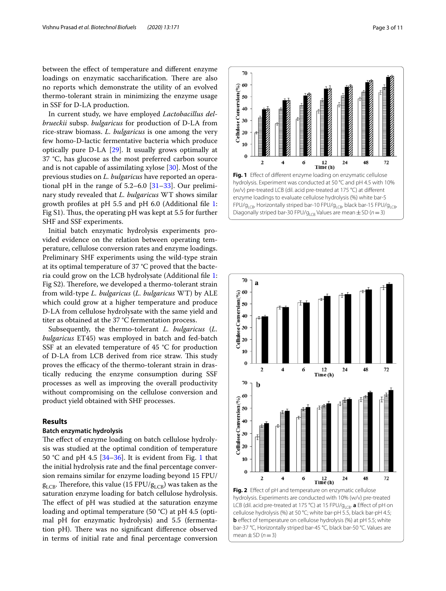between the effect of temperature and different enzyme loadings on enzymatic saccharification. There are also no reports which demonstrate the utility of an evolved thermo-tolerant strain in minimizing the enzyme usage in SSF for D-LA production.

In current study, we have employed Lactobacillus delbrueckii subsp. bulgaricus for production of D-LA from rice-straw biomass. L. bulgaricus is one among the very few homo-D-lactic fermentative bacteria which produce optically pure D-LA [\[29](#page-10-7)]. It usually grows optimally at 37 °C, has glucose as the most preferred carbon source and is not capable of assimilating xylose [\[30](#page-10-8)]. Most of the previous studies on L. bulgaricus have reported an operational pH in the range of  $5.2-6.0$  [ $31-33$  $31-33$ ]. Our preliminary study revealed that L. bulgaricus WT shows similar growth profiles at pH 5.5 and pH 6.0 (Additional file [1](#page-9-16): Fig S1). Thus, the operating pH was kept at 5.5 for further SHF and SSF experiments.

Initial batch enzymatic hydrolysis experiments provided evidence on the relation between operating temperature, cellulose conversion rates and enzyme loadings. Preliminary SHF experiments using the wild-type strain at its optimal temperature of 37 °C proved that the bacteria could grow on the LCB hydrolysate (Additional file [1](#page-9-16): Fig S2). Therefore, we developed a thermo-tolerant strain from wild-type L. bulgaricus (L. bulgaricus WT) by ALE which could grow at a higher temperature and produce D-LA from cellulose hydrolysate with the same yield and titer as obtained at the 37 °C fermentation process.

Subsequently, the thermo-tolerant L. bulgaricus (L. bulgaricus ET45) was employed in batch and fed-batch SSF at an elevated temperature of 45 °C for production of D-LA from LCB derived from rice straw. This study proves the efficacy of the thermo-tolerant strain in drastically reducing the enzyme consumption during SSF processes as well as improving the overall productivity without compromising on the cellulose conversion and product yield obtained with SHF processes.

## **Results**

## **Batch enzymatic hydrolysis**

The effect of enzyme loading on batch cellulose hydrolysis was studied at the optimal condition of temperature 50 °C and pH 4.5  $[34-36]$  $[34-36]$ . It is evident from Fig. [1](#page-2-0) that the initial hydrolysis rate and the final percentage conversion remains similar for enzyme loading beyond 15 FPU/  $g_{LCB}$ . Therefore, this value (15 FPU/ $g_{LCB}$ ) was taken as the saturation enzyme loading for batch cellulose hydrolysis. The effect of pH was studied at the saturation enzyme loading and optimal temperature (50 °C) at pH 4.5 (optimal pH for enzymatic hydrolysis) and 5.5 (fermentation pH). There was no significant difference observed in terms of initial rate and final percentage conversion

<span id="page-2-0"></span>



<span id="page-2-1"></span>hydrolysis. Experiments are conducted with 10% (w/v) pre-treated LCB (dil. acid pre-treated at 175 °C) at 15 FPU/g<sub>LCB</sub>. **a** Effect of pH on cellulose hydrolysis (%) at 50 °C; white bar-pH 5.5, black bar-pH 4.5; **b** effect of temperature on cellulose hydrolysis (%) at pH 5.5; white bar-37 °C, Horizontally striped bar-45 °C, black bar-50 °C. Values are mean  $\pm$  SD ( $n=3$ )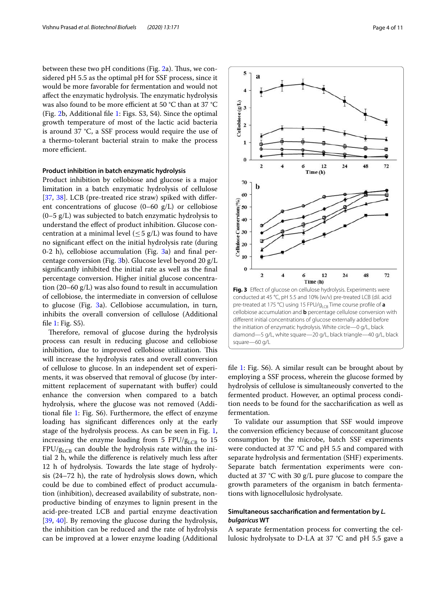between these two pH conditions (Fig. [2](#page-2-1)a). Thus, we considered pH 5.5 as the optimal pH for SSF process, since it would be more favorable for fermentation and would not affect the enzymatic hydrolysis. The enzymatic hydrolysis was also found to be more efficient at 50 °C than at 37 °C (Fig. [2](#page-2-1)b, Additional file [1:](#page-9-16) Figs. S3, S4). Since the optimal growth temperature of most of the lactic acid bacteria is around 37 °C, a SSF process would require the use of a thermo-tolerant bacterial strain to make the process more efficient.

## **Product inhibition in batch enzymatic hydrolysis**

Product inhibition by cellobiose and glucose is a major limitation in a batch enzymatic hydrolysis of cellulose [[37,](#page-10-13) [38\]](#page-10-14). LCB (pre-treated rice straw) spiked with different concentrations of glucose (0–60 g/L) or cellobiose  $(0-5 g/L)$  was subjected to batch enzymatic hydrolysis to understand the effect of product inhibition. Glucose concentration at a minimal level  $(\leq 5 \text{ g/L})$  was found to have no significant effect on the initial hydrolysis rate (during 0-2 h), cellobiose accumulation (Fig. [3](#page-3-0)a) and final percentage conversion (Fig. [3](#page-3-0)b). Glucose level beyond 20 g/L significantly inhibited the initial rate as well as the final percentage conversion. Higher initial glucose concentration (20–60 g/L) was also found to result in accumulation of cellobiose, the intermediate in conversion of cellulose to glucose (Fig. [3a](#page-3-0)). Cellobiose accumulation, in turn, inhibits the overall conversion of cellulose (Additional file [1](#page-9-16): Fig. S5).

Therefore, removal of glucose during the hydrolysis process can result in reducing glucose and cellobiose inhibition, due to improved cellobiose utilization. This will increase the hydrolysis rates and overall conversion of cellulose to glucose. In an independent set of experiments, it was observed that removal of glucose (by intermittent replacement of supernatant with buffer) could enhance the conversion when compared to a batch hydrolysis, where the glucose was not removed (Additional file [1](#page-9-16): Fig. S6). Furthermore, the effect of enzyme loading has significant differences only at the early stage of the hydrolysis process. As can be seen in Fig. [1](#page-2-0), increasing the enzyme loading from 5 FPU/ $g_{LCB}$  to 15  $FPU/g_{LCR}$  can double the hydrolysis rate within the initial 2 h, while the difference is relatively much less after 12 h of hydrolysis. Towards the late stage of hydrolysis (24–72 h), the rate of hydrolysis slows down, which could be due to combined effect of product accumulation (inhibition), decreased availability of substrate, nonproductive binding of enzymes to lignin present in the acid-pre-treated LCB and partial enzyme deactivation [[39,](#page-10-15) [40](#page-10-16)]. By removing the glucose during the hydrolysis, the inhibition can be reduced and the rate of hydrolysis can be improved at a lower enzyme loading (Additional



<span id="page-3-0"></span>file [1](#page-9-16): Fig. S6). A similar result can be brought about by employing a SSF process, wherein the glucose formed by hydrolysis of cellulose is simultaneously converted to the fermented product. However, an optimal process condition needs to be found for the saccharification as well as fermentation.

To validate our assumption that SSF would improve the conversion efficiency because of concomitant glucose consumption by the microbe, batch SSF experiments were conducted at 37 °C and pH 5.5 and compared with separate hydrolysis and fermentation (SHF) experiments. Separate batch fermentation experiments were conducted at 37 °C with 30 g/L pure glucose to compare the growth parameters of the organism in batch fermentations with lignocellulosic hydrolysate.

## **Simultaneous saccharification and fermentation by L. bulgaricus WT**

A separate fermentation process for converting the cellulosic hydrolysate to D-LA at 37 °C and pH 5.5 gave a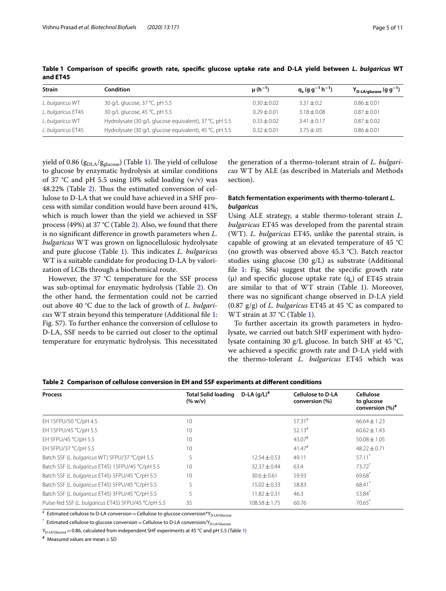| <b>Strain</b>      | Condition                                              | $\mu(h^{-1})$   | $q_s (g g^{-1} h^{-1})$ | $Y_{D\text{-LA/glucose}} (g g^{-1})$ |
|--------------------|--------------------------------------------------------|-----------------|-------------------------|--------------------------------------|
| L. bulgaricus WT   | 30 g/L glucose, 37 °C, pH 5.5                          | $0.30 \pm 0.02$ | $3.31 \pm 0.2$          | $0.86 \pm 0.01$                      |
| L. bulgaricus ET45 | 30 g/L glucose, 45 °C, pH 5.5                          | $0.29 + 0.01$   | $3.18 + 0.08$           | $0.87 + 0.01$                        |
| L. bulgaricus WT   | Hydrolysate (30 g/L glucose equivalent), 37 °C, pH 5.5 | $0.33 + 0.02$   | $3.41 \pm 0.17$         | $0.87 + 0.02$                        |
| L. bulgaricus ET45 | Hydrolysate (30 g/L glucose equivalent), 45 °C, pH 5.5 | $0.32 + 0.01$   | $3.75 \pm .05$          | $0.86 \pm 0.01$                      |

<span id="page-4-0"></span>**Table 1 Comparison of specific growth rate, specific glucose uptake rate and D-LA yield between L. bulgaricus WT and ET45**

yield of 0.86 ( $g_{DLA}/g_{glucose}$ ) (Table [1\)](#page-4-0). The yield of cellulose to glucose by enzymatic hydrolysis at similar conditions of 37  $\degree$ C and pH 5.5 using 10% solid loading (w/v) was 48.[2](#page-4-1)2% (Table 2). Thus the estimated conversion of cellulose to D-LA that we could have achieved in a SHF process with similar condition would have been around 41%, which is much lower than the yield we achieved in SSF process (49%) at 37 °C (Table [2\)](#page-4-1). Also, we found that there is no significant difference in growth parameters when L. bulgaricus WT was grown on lignocellulosic hydrolysate and pure glucose (Table  $1$ ). This indicates *L. bulgaricus* WT is a suitable candidate for producing D-LA by valorization of LCBs through a biochemical route.

However, the 37 °C temperature for the SSF process was sub-optimal for enzymatic hydrolysis (Table [2](#page-4-1)). On the other hand, the fermentation could not be carried out above 40 °C due to the lack of growth of L. bulgaricus WT strain beyond this temperature (Additional file [1](#page-9-16): Fig. S7). To further enhance the conversion of cellulose to D-LA, SSF needs to be carried out closer to the optimal temperature for enzymatic hydrolysis. This necessitated

the generation of a thermo-tolerant strain of L. bulgaricus WT by ALE (as described in Materials and Methods section).

## Batch fermentation experiments with thermo-tolerant *L*. **bulgaricus**

Using ALE strategy, a stable thermo-tolerant strain  $L$ . bulgaricus ET45 was developed from the parental strain (WT). L. bulgaricus ET45, unlike the parental strain, is capable of growing at an elevated temperature of 45 °C (no growth was observed above 45.3 °C). Batch reactor studies using glucose (30 g/L) as substrate (Additional file [1](#page-9-16): Fig. S8a) suggest that the specific growth rate ( $\mu$ ) and specific glucose uptake rate ( $q_s$ ) of ET45 strain are similar to that of WT strain (Table [1\)](#page-4-0). Moreover, there was no significant change observed in D-LA yield (0.87 g/g) of *L. bulgaricus* ET45 at 45 °C as compared to WT strain at 37 °C (Table [1](#page-4-0)).

To further ascertain its growth parameters in hydrolysate, we carried out batch SHF experiment with hydrolysate containing 30 g/L glucose. In batch SHF at 45 °C, we achieved a specific growth rate and D-LA yield with the thermo-tolerant L. bulgaricus ET45 which was

<span id="page-4-1"></span>

|  |  |  |  |  |  | Table 2 Comparison of cellulose conversion in EH and SSF experiments at different conditions |  |  |
|--|--|--|--|--|--|----------------------------------------------------------------------------------------------|--|--|
|--|--|--|--|--|--|----------------------------------------------------------------------------------------------|--|--|

| D-LA $(q/L)^*$    | <b>Cellulose to D-LA</b><br>conversion (%) | Cellulose<br>to glucose<br>conversion (%) <sup>#</sup> |
|-------------------|--------------------------------------------|--------------------------------------------------------|
|                   | $57.31$ <sup>#</sup>                       | $66.64 \pm 1.23$                                       |
|                   | $52.13*$                                   | $60.62 \pm 1.43$                                       |
|                   | 43.07#                                     | $50.08 \pm 1.05$                                       |
|                   | $41.47^{\#}$                               | $48.22 + 0.71$                                         |
| $12.54 + 0.53$    | 49.11                                      | $57.11$ <sup>*</sup>                                   |
|                   | 63.4                                       | 73.72*                                                 |
| $30.6 \pm 0.61$   | 59.93                                      | 69.68                                                  |
| $15.02 \pm 0.33$  | 58.83                                      | 68.41                                                  |
| $11.82 \pm 0.31$  | 46.3                                       | 53.84*                                                 |
| $108.58 \pm 1.75$ | 60.76                                      | $70.65$ <sup>*</sup>                                   |
|                   | <b>Total Solid loading</b>                 | $32.37 \pm 0.44$                                       |

 $^{\texttt{\#}}$  Estimated cellulose to D-LA conversion  $=$  Cellulose to glucose conversion $^{\texttt{\#}}$ Y<sub>D-LA/Glucose</sub>

 $^\ast$  Estimated cellulose to glucose conversion  $=$  Cellulose to D-LA conversion/Y<sub>D-LA/Glucose</sub>

 $Y_{D-LA/Glu\text{cos}} = 0.86$ , calculated from independent SHF experiments at 45 °C and pH 5.5 (Table [1](#page-4-0))

**#** Measured values are mean ± SD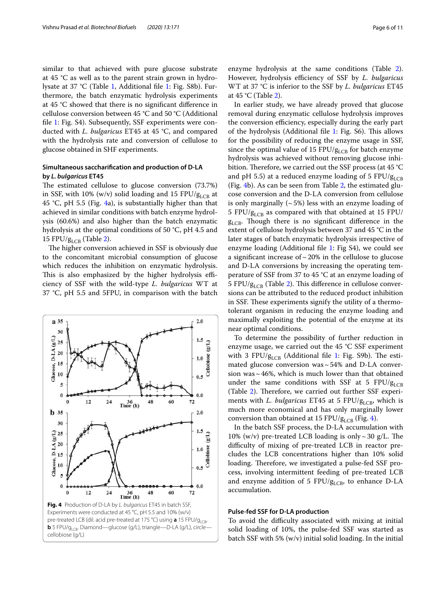similar to that achieved with pure glucose substrate at 45 °C as well as to the parent strain grown in hydrolysate at 37 °C (Table [1](#page-4-0), Additional file [1:](#page-9-16) Fig. S8b). Furthermore, the batch enzymatic hydrolysis experiments at 45 °C showed that there is no significant difference in cellulose conversion between 45 °C and 50 °C (Additional file [1](#page-9-16): Fig. S4). Subsequently, SSF experiments were conducted with L. bulgaricus ET45 at 45 °C, and compared with the hydrolysis rate and conversion of cellulose to glucose obtained in SHF experiments.

## **Simultaneous saccharification and production of D‑LA by L. bulgaricus ET45**

The estimated cellulose to glucose conversion (73.7%) in SSF, with 10% (w/v) solid loading and 15 FPU/ $g_{LCR}$  at 45 °C, pH 5.5 (Fig. [4](#page-5-0)a), is substantially higher than that achieved in similar conditions with batch enzyme hydrolysis (60.6%) and also higher than the batch enzymatic hydrolysis at the optimal conditions of 50 °C, pH 4.5 and 15 FPU/ $g_{LCB}$  (Table [2](#page-4-1)).

The higher conversion achieved in SSF is obviously due to the concomitant microbial consumption of glucose which reduces the inhibition on enzymatic hydrolysis. This is also emphasized by the higher hydrolysis efficiency of SSF with the wild-type L. bulgaricus WT at 37 °C, pH 5.5 and 5FPU, in comparison with the batch



enzyme hydrolysis at the same conditions (Table [2](#page-4-1)). However, hydrolysis efficiency of SSF by L. bulgaricus WT at 37  $\degree$ C is inferior to the SSF by *L. bulgaricus* ET45 at 45 °C (Table [2](#page-4-1)).

In earlier study, we have already proved that glucose removal during enzymatic cellulose hydrolysis improves the conversion efficiency, especially during the early part of the hydrolysis (Additional file [1:](#page-9-16) Fig. S6). This allows for the possibility of reducing the enzyme usage in SSF, since the optimal value of 15 FPU/ $g_{LCB}$  for batch enzyme hydrolysis was achieved without removing glucose inhibition. Therefore, we carried out the SSF process (at 45 °C and pH 5.5) at a reduced enzyme loading of 5 FPU/ $g_{LCR}$ (Fig. [4](#page-5-0)b). As can be seen from Table [2](#page-4-1), the estimated glucose conversion and the D-LA conversion from cellulose is only marginally  $({\sim}5\%)$  less with an enzyme loading of 5 FPU/ $g_{LCR}$  as compared with that obtained at 15 FPU/  $g<sub>LCB</sub>$ . Though there is no significant difference in the extent of cellulose hydrolysis between 37 and 45 °C in the later stages of batch enzymatic hydrolysis irrespective of enzyme loading (Additional file [1:](#page-9-16) Fig S4), we could see a significant increase of  $\sim$  20% in the cellulose to glucose and D-LA conversions by increasing the operating temperature of SSF from 37 to 45 °C at an enzyme loading of 5 FPU/ $g_{\rm LCB}$  (Table [2](#page-4-1)). This difference in cellulose conversions can be attributed to the reduced product inhibition in SSF. These experiments signify the utility of a thermotolerant organism in reducing the enzyme loading and maximally exploiting the potential of the enzyme at its near optimal conditions.

To determine the possibility of further reduction in enzyme usage, we carried out the 45 °C SSF experiment with 3 FPU/ $g_{LCR}$  (Additional file [1:](#page-9-16) Fig. S9b). The estimated glucose conversion was  $\sim$  54% and D-LA conversion was  $\sim$  46%, which is much lower than that obtained under the same conditions with SSF at 5 FPU/ $g_{LCB}$ (Table [2\)](#page-4-1). Therefore, we carried out further SSF experiments with L. bulgaricus ET45 at 5 FPU/ $g_{LCB}$ , which is much more economical and has only marginally lower conversion than obtained at 15 FPU/ $g_{LCB}$  (Fig. [4\)](#page-5-0).

In the batch SSF process, the D-LA accumulation with 10% (w/v) pre-treated LCB loading is only  $\sim$  30 g/L. The difficulty of mixing of pre-treated LCB in reactor precludes the LCB concentrations higher than 10% solid loading. Therefore, we investigated a pulse-fed SSF process, involving intermittent feeding of pre-treated LCB and enzyme addition of 5  $FPU/g_{LCB}$ , to enhance D-LA accumulation.

## <span id="page-5-0"></span>**Pulse‑fed SSF for D‑LA production**

To avoid the difficulty associated with mixing at initial solid loading of 10%, the pulse-fed SSF was started as batch SSF with 5% (w/v) initial solid loading. In the initial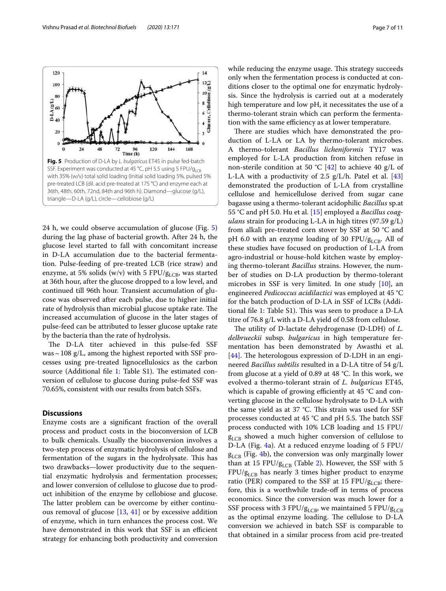<span id="page-6-0"></span>24 h, we could observe accumulation of glucose (Fig. [5](#page-6-0)) during the lag phase of bacterial growth. After 24 h, the glucose level started to fall with concomitant increase in D-LA accumulation due to the bacterial fermentation. Pulse-feeding of pre-treated LCB (rice straw) and enzyme, at 5% solids (w/v) with 5 FPU/ $g_{LCB}$ , was started at 36th hour, after the glucose dropped to a low level, and continued till 96th hour. Transient accumulation of glucose was observed after each pulse, due to higher initial rate of hydrolysis than microbial glucose uptake rate. The increased accumulation of glucose in the later stages of pulse-feed can be attributed to lesser glucose uptake rate by the bacteria than the rate of hydrolysis.

The D-LA titer achieved in this pulse-fed SSF was  $\sim$  108 g/L, among the highest reported with SSF processes using pre-treated lignocellulosics as the carbon source (Additional file [1:](#page-9-16) Table S1). The estimated conversion of cellulose to glucose during pulse-fed SSF was 70.65%, consistent with our results from batch SSFs.

## **Discussions**

Enzyme costs are a significant fraction of the overall process and product costs in the bioconversion of LCB to bulk chemicals. Usually the bioconversion involves a two-step process of enzymatic hydrolysis of cellulose and fermentation of the sugars in the hydrolysate. This has two drawbacks—lower productivity due to the sequential enzymatic hydrolysis and fermentation processes; and lower conversion of cellulose to glucose due to product inhibition of the enzyme by cellobiose and glucose. The latter problem can be overcome by either continuous removal of glucose [\[13](#page-9-8), [41](#page-10-17)] or by excessive addition of enzyme, which in turn enhances the process cost. We have demonstrated in this work that SSF is an efficient strategy for enhancing both productivity and conversion while reducing the enzyme usage. This strategy succeeds only when the fermentation process is conducted at conditions closer to the optimal one for enzymatic hydrolysis. Since the hydrolysis is carried out at a moderately high temperature and low pH, it necessitates the use of a thermo-tolerant strain which can perform the fermentation with the same efficiency as at lower temperature.

There are studies which have demonstrated the production of L-LA or LA by thermo-tolerant microbes. A thermo-tolerant Bacillus licheniformis TY17 was employed for L-LA production from kitchen refuse in non-sterile condition at 50 °C [[42\]](#page-10-18) to achieve 40  $g/L$  of L-LA with a productivity of 2.5  $g/L/h$ . Patel et al. [[43](#page-10-19)] demonstrated the production of L-LA from crystalline cellulose and hemicellulose derived from sugar cane bagasse using a thermo-tolerant acidophilic Bacillus sp.at 55 °C and pH 5.0. Hu et al. [[15\]](#page-9-10) employed a *Bacillus coag*ulans strain for producing L-LA in high titres  $(97.59 \text{ g/L})$ from alkali pre-treated corn stover by SSF at 50 °C and pH 6.0 with an enzyme loading of 30 FPU/ $g_{LCB}$ . All of these studies have focused on production of L-LA from agro-industrial or house-hold kitchen waste by employing thermo-tolerant *Bacillus* strains. However, the number of studies on D-LA production by thermo-tolerant microbes in SSF is very limited. In one study [\[10\]](#page-9-17), an engineered Pedicoccus acidilactici was employed at 45 °C for the batch production of D-LA in SSF of LCBs (Additional file [1](#page-9-16): Table S1). This was seen to produce a D-LA titre of 76.8 g/L with a D-LA yield of 0.58 from cellulose.

The utility of D-lactate dehydrogenase (D-LDH) of L. delbrueckii subsp. bulgaricus in high temperature fermentation has been demonstrated by Awasthi et al. [[44\]](#page-10-20). The heterologous expression of D-LDH in an engineered Bacillus subtilis resulted in a D-LA titre of 54 g/L from glucose at a yield of 0.89 at 48 °C. In this work, we evolved a thermo-tolerant strain of L. bulgaricus ET45, which is capable of growing efficiently at 45 °C and converting glucose in the cellulose hydrolysate to D-LA with the same yield as at 37 °C. This strain was used for SSF processes conducted at 45 °C and pH 5.5. The batch SSF process conducted with 10% LCB loading and 15 FPU/  $g_{LCR}$  showed a much higher conversion of cellulose to D-LA (Fig. [4a](#page-5-0)). At a reduced enzyme loading of 5 FPU/  $g_{LCB}$  (Fig. [4b](#page-5-0)), the conversion was only marginally lower than at 15 FPU/ $g_{LCB}$  (Table [2\)](#page-4-1). However, the SSF with 5 FPU/gLCB has nearly 3 times higher product to enzyme ratio (PER) compared to the SSF at 15 FPU/ $g_{LCB}$ ; therefore, this is a worthwhile trade-off in terms of process economics. Since the conversion was much lower for a SSF process with 3 FPU/ $g_{LCB}$ , we maintained 5 FPU/ $g_{LCB}$ as the optimal enzyme loading. The cellulose to D-LA conversion we achieved in batch SSF is comparable to that obtained in a similar process from acid pre-treated

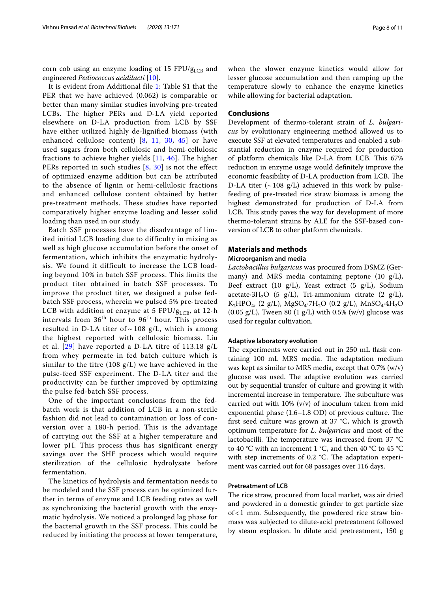corn cob using an enzyme loading of 15 FPU/ $g_{\text{LCB}}$  and engineered Pediococcus acidilacti [[10\]](#page-9-17).

It is evident from Additional file [1](#page-9-16): Table S1 that the PER that we have achieved (0.062) is comparable or better than many similar studies involving pre-treated LCBs. The higher PERs and D-LA yield reported elsewhere on D-LA production from LCB by SSF have either utilized highly de-lignified biomass (with enhanced cellulose content) [[8,](#page-9-18) [11,](#page-9-6) [30](#page-10-8), [45](#page-10-21)] or have used sugars from both cellulosic and hemi-cellulosic fractions to achieve higher yields [\[11,](#page-9-6) [46\]](#page-10-22). The higher PERs reported in such studies  $[8, 30]$  $[8, 30]$  $[8, 30]$  $[8, 30]$  $[8, 30]$  is not the effect of optimized enzyme addition but can be attributed to the absence of lignin or hemi-cellulosic fractions and enhanced cellulose content obtained by better pre-treatment methods. These studies have reported comparatively higher enzyme loading and lesser solid loading than used in our study.

Batch SSF processes have the disadvantage of limited initial LCB loading due to difficulty in mixing as well as high glucose accumulation before the onset of fermentation, which inhibits the enzymatic hydrolysis. We found it difficult to increase the LCB loading beyond 10% in batch SSF process. This limits the product titer obtained in batch SSF processes. To improve the product titer, we designed a pulse fedbatch SSF process, wherein we pulsed 5% pre-treated LCB with addition of enzyme at 5 FPU/ $g_{LCR}$ , at 12-h intervals from  $36<sup>th</sup>$  hour to  $96<sup>th</sup>$  hour. This process resulted in D-LA titer of  $\sim$  108 g/L, which is among the highest reported with cellulosic biomass. Liu et al.  $[29]$  $[29]$  $[29]$  have reported a D-LA titre of 113.18  $g/L$ from whey permeate in fed batch culture which is similar to the titre (108 g/L) we have achieved in the pulse-feed SSF experiment. The D-LA titer and the productivity can be further improved by optimizing the pulse fed-batch SSF process.

One of the important conclusions from the fedbatch work is that addition of LCB in a non-sterile fashion did not lead to contamination or loss of conversion over a 180-h period. This is the advantage of carrying out the SSF at a higher temperature and lower pH. This process thus has significant energy savings over the SHF process which would require sterilization of the cellulosic hydrolysate before fermentation.

The kinetics of hydrolysis and fermentation needs to be modeled and the SSF process can be optimized further in terms of enzyme and LCB feeding rates as well as synchronizing the bacterial growth with the enzymatic hydrolysis. We noticed a prolonged lag phase for the bacterial growth in the SSF process. This could be reduced by initiating the process at lower temperature, when the slower enzyme kinetics would allow for lesser glucose accumulation and then ramping up the temperature slowly to enhance the enzyme kinetics while allowing for bacterial adaptation.

## **Conclusions**

Development of thermo-tolerant strain of *L. bulgari*cus by evolutionary engineering method allowed us to execute SSF at elevated temperatures and enabled a substantial reduction in enzyme required for production of platform chemicals like D-LA from LCB. This 67% reduction in enzyme usage would definitely improve the economic feasibility of D-LA production from LCB. The D-LA titer ( $\sim$  108 g/L) achieved in this work by pulsefeeding of pre-treated rice straw biomass is among the highest demonstrated for production of D-LA from LCB. This study paves the way for development of more thermo-tolerant strains by ALE for the SSF-based conversion of LCB to other platform chemicals.

## **Materials and methods Microorganism and media**

Lactobacillus bulgaricus was procured from DSMZ (Germany) and MRS media containing peptone (10 g/L), Beef extract (10  $g/L$ ), Yeast extract (5  $g/L$ ), Sodium acetate·3H<sub>2</sub>O (5  $g/L$ ), Tri-ammonium citrate (2  $g/L$ ),  $\rm K_2HPO_4$  (2 g/L),  $\rm MgSO_4$  7H  $\rm _2O$  (0.2 g/L),  $\rm MnSO_4$  4H  $\rm _2O$  $(0.05 \text{ g/L})$ , Tween 80  $(1 \text{ g/L})$  with 0.5%  $(w/v)$  glucose was used for regular cultivation.

## **Adaptive laboratory evolution**

The experiments were carried out in 250 mL flask containing 100 mL MRS media. The adaptation medium was kept as similar to MRS media, except that 0.7% (w/v) glucose was used. The adaptive evolution was carried out by sequential transfer of culture and growing it with incremental increase in temperature. The subculture was carried out with  $10\%$  (v/v) of inoculum taken from mid exponential phase (1.6–1.8 OD) of previous culture. The first seed culture was grown at 37 °C, which is growth optimum temperature for L. bulgaricus and most of the lactobacilli. The temperature was increased from 37 °C to 40 °C with an increment 1 °C, and then 40 °C to 45 °C with step increments of 0.2 °C. The adaptation experiment was carried out for 68 passages over 116 days.

## **Pretreatment of LCB**

The rice straw, procured from local market, was air dried and powdered in a domestic grinder to get particle size of < 1 mm. Subsequently, the powdered rice straw biomass was subjected to dilute-acid pretreatment followed by steam explosion. In dilute acid pretreatment, 150 g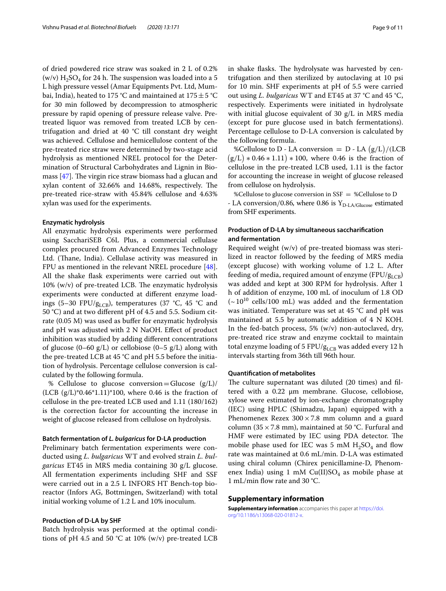of dried powdered rice straw was soaked in 2 L of 0.2% (w/v)  $\rm H_2SO_4$  for 24 h. The suspension was loaded into a 5 L high pressure vessel (Amar Equipments Pvt. Ltd, Mumbai, India), heated to 175 °C and maintained at 175  $\pm$  5 °C for 30 min followed by decompression to atmospheric pressure by rapid opening of pressure release valve. Pretreated liquor was removed from treated LCB by centrifugation and dried at 40 °C till constant dry weight was achieved. Cellulose and hemicellulose content of the pre-treated rice straw were determined by two-stage acid hydrolysis as mentioned NREL protocol for the Determination of Structural Carbohydrates and Lignin in Biomass [[47](#page-10-23)]. The virgin rice straw biomass had a glucan and xylan content of 32.66% and 14.68%, respectively. The pre-treated rice-straw with 45.84% cellulose and 4.63% xylan was used for the experiments.

## **Enzymatic hydrolysis**

All enzymatic hydrolysis experiments were performed using SacchariSEB C6L Plus, a commercial cellulase complex procured from Advanced Enzymes Technology Ltd. (Thane, India). Cellulase activity was measured in FPU as mentioned in the relevant NREL procedure [\[48](#page-10-24)]. All the shake flask experiments were carried out with 10% (w/v) of pre-treated LCB. The enzymatic hydrolysis experiments were conducted at different enzyme loadings (5–30 FPU/ $g_{LCB}$ ), temperatures (37 °C, 45 °C and 50 °C) and at two different pH of 4.5 and 5.5. Sodium citrate (0.05 M) was used as buffer for enzymatic hydrolysis and pH was adjusted with 2 N NaOH. Effect of product inhibition was studied by adding different concentrations of glucose  $(0-60 \text{ g/L})$  or cellobiose  $(0-5 \text{ g/L})$  along with the pre-treated LCB at 45 °C and pH 5.5 before the initiation of hydrolysis. Percentage cellulose conversion is calculated by the following formula.

% Cellulose to glucose conversion = Glucose  $(g/L)/$  $(LCB (g/L)*0.46*1.11)*100$ , where 0.46 is the fraction of cellulose in the pre-treated LCB used and 1.11 (180/162) is the correction factor for accounting the increase in weight of glucose released from cellulose on hydrolysis.

## **Batch fermentation of L. bulgaricus for D‑LA production**

Preliminary batch fermentation experiments were conducted using L. bulgaricus WT and evolved strain L. bulgaricus ET45 in MRS media containing 30 g/L glucose. All fermentation experiments including SHF and SSF were carried out in a 2.5 L INFORS HT Bench-top bioreactor (Infors AG, Bottmingen, Switzerland) with total initial working volume of 1.2 L and 10% inoculum.

## **Production of D‑LA by SHF**

Batch hydrolysis was performed at the optimal conditions of pH 4.5 and 50  $°C$  at 10% (w/v) pre-treated LCB in shake flasks. The hydrolysate was harvested by centrifugation and then sterilized by autoclaving at 10 psi for 10 min. SHF experiments at pH of 5.5 were carried out using L. bulgaricus WT and ET45 at 37  $^{\circ}$ C and 45  $^{\circ}$ C, respectively. Experiments were initiated in hydrolysate with initial glucose equivalent of 30 g/L in MRS media (except for pure glucose used in batch fermentations). Percentage cellulose to D-LA conversion is calculated by the following formula.

%Cellulose to D - LA conversion =  $D$  - LA  $(g/L)/(LCB)$  $(g/L) * 0.46 * 1.11) * 100$ , where 0.46 is the fraction of cellulose in the pre-treated LCB used, 1.11 is the factor for accounting the increase in weight of glucose released from cellulose on hydrolysis.

%Cellulose to glucose conversion in SSF = %Cellulose to D - LA conversion/0.86, where 0.86 is  $Y_{D-LA/Glu\,ose}}$  estimated from SHF experiments.

## **Production of D‑LA by simultaneous saccharification and fermentation**

Required weight (w/v) of pre-treated biomass was sterilized in reactor followed by the feeding of MRS media (except glucose) with working volume of 1.2 L. After feeding of media, required amount of enzyme (FPU/ $g_{LCB}$ ) was added and kept at 300 RPM for hydrolysis. After 1 h of addition of enzyme, 100 mL of inoculum of 1.8 OD  $({\sim}10^{10}$  cells/100 mL) was added and the fermentation was initiated. Temperature was set at 45 °C and pH was maintained at 5.5 by automatic addition of 4 N KOH. In the fed-batch process,  $5\%$  (w/v) non-autoclaved, dry, pre-treated rice straw and enzyme cocktail to maintain total enzyme loading of 5 FPU/ $g_{LCB}$  was added every 12 h intervals starting from 36th till 96th hour.

### **Quantification of metabolites**

The culture supernatant was diluted (20 times) and filtered with a 0.22 μm membrane. Glucose, cellobiose, xylose were estimated by ion-exchange chromatography (IEC) using HPLC (Shimadzu, Japan) equipped with a Phenomenex Rezex  $300 \times 7.8$  mm column and a guard column (35  $\times$  7.8 mm), maintained at 50 °C. Furfural and HMF were estimated by IEC using PDA detector. The mobile phase used for IEC was 5 mM  $H_2SO_4$  and flow rate was maintained at 0.6 mL/min. D-LA was estimated using chiral column (Chirex penicillamine-D, Phenomenex India) using 1 mM  $Cu(II)SO<sub>4</sub>$  as mobile phase at 1 mL/min flow rate and 30 °C.

#### **Supplementary information**

**Supplementary information** accompanies this paper at https://doi. org/10.1186/s13068-020-01812-x.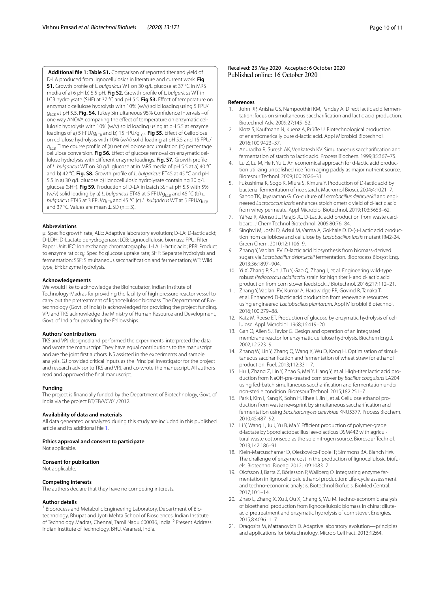<span id="page-9-16"></span>**Additional file 1: Table S1.** Comparison of reported titer and yield of D-LA produced from lignocellulosics in literature and current work. **Fig S1.** Growth profile of L. bulgaricus WT on 30 g/L glucose at 37 °C in MRS media of a) 6 pH b) 5.5 pH. **Fig S2.** Growth profile of L. bulgaricus WT in LCB hydrolysate (SHF) at 37 °C and pH 5.5. **Fig S3.** Effect of temperature on enzymatic cellulose hydrolysis with 10% (w/v) solid loading using 5 FPU/ g<sub>LCB</sub> at pH 5.5. **Fig. S4.** Tukey Simultaneous 95% Confidence Intervals –of one way ANOVA comparing the effect of temperature on enzymatic cellulosic hydrolysis with 10% (w/v) solid loading using at pH 5.5 at enzyme loadings of a) 5 FPU/g<sub>LCB</sub> and b) 15 FPU/g<sub>LCB</sub>. Fig S5. Effect of Cellobiose

on cellulose hydrolysis with 10% (w/v) solid loading at pH 5.5 and 15 FPU/ g<sub>LCB</sub>. Time course profile of (a) net cellobiose accumulation (b) percentage cellulose conversion. **Fig S6.** Effect of glucose removal on enzymatic cellulose hydrolysis with different enzyme loadings. **Fig. S7.** Growth profile of L. bulgaricus WT on 30 g/L glucose at in MRS media of pH 5.5 at a) 40 °C and b) 42 °C. **Fig. S8.** Growth profile of L. bulgaricus ET45 at 45 °C and pH 5.5 in a) 30 g/L glucose b) lignocellulosic hydrolysate containing 30 g/L glucose (SHF). **Fig S9.** Production of D-LA in batch SSF at pH 5.5 with 5% (w/v) solid loading by a) L. bulgaricus ET45 at 5 FPU/g<sub>LCB</sub> and 45 °C (b) L. bulgaricus ET45 at 3 FPU/g<sub>LCB</sub> and 45 °C (c) L. bulgaricus WT at 5 FPU/g<sub>LCB</sub> and 37 °C. Values are mean  $\pm$  SD (n = 3).

### **Abbreviations**

µ: Specific growth rate; ALE: Adaptive laboratory evolution; D-LA: D-lactic acid; D-LDH: D-Lactate dehydrogenase; LCB: Lignocellulosic biomass; FPU: Filter Paper Unit; IEC: Ion exchange chromatography; L-LA: L-lactic acid; PER: Product to enzyme ratio; q<sub>s</sub>: Specific glucose uptake rate; SHF: Separate hydrolysis and fermentation; SSF: Simultaneous saccharification and fermentation; WT: Wild type; EH: Enzyme hydrolysis.

#### **Acknowledgements**

We would like to acknowledge the Bioincubator, Indian Institute of Technology-Madras for providing the facility of high pressure reactor vessel to carry out the pretreatment of lignocellulosic biomass. The Department of Biotechnology (Govt. of India) is acknowledged for providing the project funding. VPJ and TKS acknowledge the Ministry of Human Resource and Development, Govt. of India for providing the Fellowships.

#### **Authors' contributions**

TKS and VPJ designed and performed the experiments, interpreted the data and wrote the manuscript. They have equal contributions to the manuscript and are the joint first authors. NS assisted in the experiments and sample analysis. GJ provided critical inputs as the Principal Investigator for the project and research advisor to TKS and VPJ, and co-wrote the manuscript. All authors read and approved the final manuscript.

#### **Funding**

The project is financially funded by the Department of Biotechnology, Govt. of India via the project BT/EB/VC/01/2012.

#### **Availability of data and materials**

All data generated or analyzed during this study are included in this published article and its additional file [1.](#page-9-16)

#### **Ethics approval and consent to participate**

Not applicable.

## **Consent for publication**

Not applicable.

#### **Competing interests**

The authors declare that they have no competing interests.

#### **Author details**

<sup>1</sup> Bioprocess and Metabolic Engineering Laboratory, Department of Biotechnology, Bhupat and Jyoti Mehta School of Biosciences, Indian Institute of Technology Madras, Chennai, Tamil Nadu 600036, India. <sup>2</sup> Present Address: Indian Institute of Technology, BHU, Varanasi, India.

## **References**

- <span id="page-9-0"></span>John RP, Anisha GS, Nampoothiri KM, Pandey A. Direct lactic acid fermentation: focus on simultaneous saccharification and lactic acid production. Biotechnol Adv. 2009;27:145–52.
- <span id="page-9-1"></span> 2. Klotz S, Kaufmann N, Kuenz A, Prüße U. Biotechnological production of enantiomerically pure d-lactic acid. Appl Microbiol Biotechnol. 2016;100:9423–37.
- <span id="page-9-2"></span> 3. Anuradha R, Suresh AK, Venkatesh KV. Simultaneous saccharification and fermentation of starch to lactic acid. Process Biochem. 1999;35:367–75.
- Lu Z, Lu M, He F, Yu L. An economical approach for d-lactic acid production utilizing unpolished rice from aging paddy as major nutrient source. Bioresour Technol. 2009;100:2026–31.
- <span id="page-9-3"></span> 5. Fukushima K, Sogo K, Miura S, Kimura Y. Production of D-lactic acid by bacterial fermentation of rice starch. Macromol Biosci. 2004;4:1021–7.
- <span id="page-9-4"></span> 6. Sahoo TK, Jayaraman G. Co-culture of Lactobacillus delbrueckii and engineered Lactococcus lactis enhances stoichiometric yield of d-lactic acid from whey permeate. Appl Microbiol Biotechnol. 2019;103:5653–62.
- <span id="page-9-5"></span>Yáñez R, Alonso JL, Parajó JC. D-Lactic acid production from waste cardboard. J Chem Technol Biotechnol. 2005;80:76–84.
- <span id="page-9-18"></span>8. Singhvi M, Joshi D, Adsul M, Varma A, Gokhale D. D-(-)-Lactic acid production from cellobiose and cellulose by Lactobacillus lactis mutant RM2-24. Green Chem. 2010;12:1106–9.
- 9. Zhang Y, Vadlani PV. D-lactic acid biosynthesis from biomass-derived sugars via Lactobacillus delbrueckii fermentation. Bioprocess Biosyst Eng. 2013;36:1897–904.
- <span id="page-9-17"></span> 10. Yi X, Zhang P, Sun J, Tu Y, Gao Q, Zhang J, et al. Engineering wild-type robust Pediococcus acidilactici strain for high titer l- and d-lactic acid production from corn stover feedstock. J Biotechnol. 2016;217:112–21.
- <span id="page-9-6"></span> 11. Zhang Y, Vadlani PV, Kumar A, Hardwidge PR, Govind R, Tanaka T, et al. Enhanced D-lactic acid production from renewable resources using engineered Lactobacillus plantarum. Appl Microbiol Biotechnol. 2016;100:279–88.
- <span id="page-9-7"></span> 12. Katz M, Reese ET. Production of glucose by enzymatic hydrolysis of cellulose. Appl Microbiol. 1968;16:419–20.
- <span id="page-9-8"></span> 13. Gan Q, Allen SJ, Taylor G. Design and operation of an integrated membrane reactor for enzymatic cellulose hydrolysis. Biochem Eng J. 2002;12:223–9.
- <span id="page-9-9"></span> 14. Zhang W, Lin Y, Zhang Q, Wang X, Wu D, Kong H. Optimisation of simultaneous saccharification and fermentation of wheat straw for ethanol production. Fuel. 2013;112:331–7.
- <span id="page-9-10"></span> 15. Hu J, Zhang Z, Lin Y, Zhao S, Mei Y, Liang Y, et al. High-titer lactic acid production from NaOH-pre-treated corn stover by Bacillus coagulans LA204 using fed-batch simultaneous saccharification and fermentation under non-sterile condition. Bioresour Technol. 2015;182:251–7.
- <span id="page-9-11"></span> 16. Park I, Kim I, Kang K, Sohn H, Rhee I, Jin I, et al. Cellulose ethanol production from waste newsprint by simultaneous saccharification and fermentation using Saccharomyces cerevisiae KNU5377. Process Biochem. 2010;45:487–92.
- <span id="page-9-12"></span> 17. Li Y, Wang L, Ju J, Yu B, Ma Y. Efficient production of polymer-grade d-lactate by Sporolactobacillus laevolacticus DSM442 with agricultural waste cottonseed as the sole nitrogen source. Bioresour Technol. 2013;142:186–91.
- <span id="page-9-13"></span> 18. Klein-Marcuschamer D, Oleskowicz-Popiel P, Simmons BA, Blanch HW. The challenge of enzyme cost in the production of lignocellulosic biofuels. Biotechnol Bioeng. 2012;109:1083–7.
- 19. Olofsson J, Barta Z, Börjesson P, Wallberg O. Integrating enzyme fermentation in lignocellulosic ethanol production: Life-cycle assessment and techno-economic analysis. Biotechnol Biofuels. BioMed Central. 2017;10:1–14.
- <span id="page-9-14"></span> 20. Zhao L, Zhang X, Xu J, Ou X, Chang S, Wu M. Techno-economic analysis of bioethanol production from lignocellulosic biomass in china: diluteacid pretreatment and enzymatic hydrolysis of corn stover. Energies. 2015;8:4096–117.
- <span id="page-9-15"></span> 21. Dragosits M, Mattanovich D. Adaptive laboratory evolution—principles and applications for biotechnology. Microb Cell Fact. 2013;12:64.